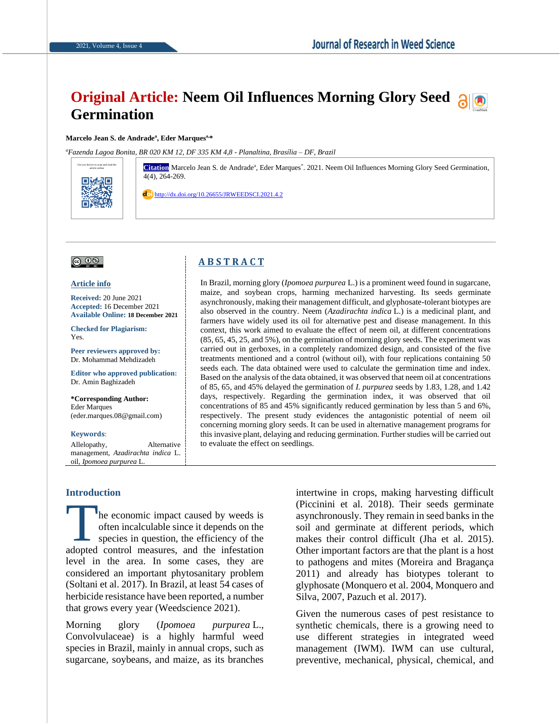# **Original Article: Neem Oil Influences Morning Glory Seed along Germination**

#### **Marcelo Jean S. de Andrade<sup>a</sup> , Eder Marquesa,\***

*<sup>a</sup>Fazenda Lagoa Bonita, BR 020 KM 12, DF 335 KM 4,8 - Planaltina, Brasília – DF, Brazil*

article online **Citation** Marcelo Jean S. de Andrade<sup>a</sup> , Eder Marques\* . 2021. Neem Oil Influences Morning Glory Seed Germination, 4(4), 264-269.

> In Brazil, morning glory (*Ipomoea purpurea* L.) is a prominent weed found in sugarcane, maize, and soybean crops, harming mechanized harvesting. Its seeds germinate asynchronously, making their management difficult, and glyphosate-tolerant biotypes are also observed in the country. Neem (*Azadirachta indica* L.) is a medicinal plant, and farmers have widely used its oil for alternative pest and disease management. In this context, this work aimed to evaluate the effect of neem oil, at different concentrations (85, 65, 45, 25, and 5%), on the germination of morning glory seeds. The experiment was carried out in gerboxes, in a completely randomized design, and consisted of the five treatments mentioned and a control (without oil), with four replications containing 50 seeds each. The data obtained were used to calculate the germination time and index. Based on the analysis of the data obtained, it was observed that neem oil at concentrations of 85, 65, and 45% delayed the germination of *I. purpurea* seeds by 1.83, 1.28, and 1.42 days, respectively. Regarding the germination index, it was observed that oil concentrations of 85 and 45% significantly reduced germination by less than 5 and 6%, respectively. The present study evidences the antagonistic potential of neem oil concerning morning glory seeds. It can be used in alternative management programs for this invasive plant, delaying and reducing germination. Further studies will be carried out

<http://dx.doi.org/10.26655/JRWEEDSCI.2021.4.2>

**A B S T R A C T**

to evaluate the effect on seedlings.

### $\circledcirc$

Use yor device to scan and read the

回動器回

#### **Article info**

**Received:** 20 June 2021 **Accepted:** 16 December 2021 **Available Online: 18 December 2021**

**Checked for Plagiarism:**  Yes.

**Peer reviewers approved by:**  Dr. Mohammad Mehdizadeh

**Editor who approved publication:** Dr. Amin Baghizadeh

**\*Corresponding Author:** Eder Marques (eder.marques.08@gmail.com)

#### **Keywords**:

Allelopathy, Alternative management, *Azadirachta indica* L. oil, *Ipomoea purpurea* L.

#### **Introduction**

he economic impact caused by weeds is often incalculable since it depends on the species in question, the efficiency of the The economic impact caused by weeds is<br>often incalculable since it depends on the<br>species in question, the efficiency of the<br>adopted control measures, and the infestation level in the area. In some cases, they are considered an important phytosanitary problem (Soltani et al. 2017). In Brazil, at least 54 cases of herbicide resistance have been reported, a number that grows every year (Weedscience 2021).

Morning glory (*Ipomoea purpurea* L., Convolvulaceae) is a highly harmful weed species in Brazil, mainly in annual crops, such as sugarcane, soybeans, and maize, as its branches

intertwine in crops, making harvesting difficult (Piccinini et al. 2018). Their seeds germinate asynchronously. They remain in seed banks in the soil and germinate at different periods, which makes their control difficult (Jha et al. 2015). Other important factors are that the plant is a host to pathogens and mites (Moreira and Bragança 2011) and already has biotypes tolerant to glyphosate (Monquero et al. 2004, Monquero and Silva, 2007, Pazuch et al. 2017).

Given the numerous cases of pest resistance to synthetic chemicals, there is a growing need to use different strategies in integrated weed management (IWM). IWM can use cultural, preventive, mechanical, physical, chemical, and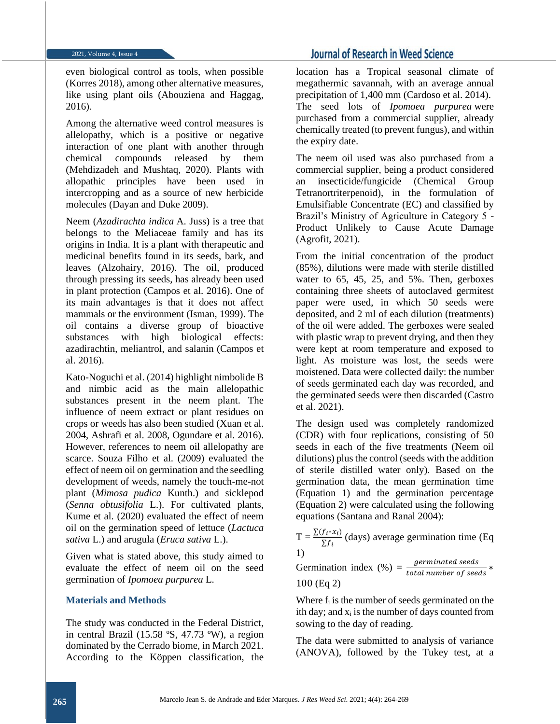even biological control as tools, when possible (Korres 2018), among other alternative measures, like using plant oils (Abouziena and Haggag, 2016).

Among the alternative weed control measures is allelopathy, which is a positive or negative interaction of one plant with another through chemical compounds released by them (Mehdizadeh and Mushtaq, 2020). Plants with allopathic principles have been used in intercropping and as a source of new herbicide molecules (Dayan and Duke 2009).

Neem (*Azadirachta indica* A. Juss) is a tree that belongs to the Meliaceae family and has its origins in India. It is a plant with therapeutic and medicinal benefits found in its seeds, bark, and leaves (Alzohairy, 2016). The oil, produced through pressing its seeds, has already been used in plant protection (Campos et al. 2016). One of its main advantages is that it does not affect mammals or the environment (Isman, 1999). The oil contains a diverse group of bioactive substances with high biological effects: azadirachtin, meliantrol, and salanin (Campos et al. 2016).

Kato-Noguchi et al. (2014) highlight nimbolide B and nimbic acid as the main allelopathic substances present in the neem plant. The influence of neem extract or plant residues on crops or weeds has also been studied (Xuan et al. 2004, Ashrafi et al. 2008, Ogundare et al. 2016). However, references to neem oil allelopathy are scarce. Souza Filho et al. (2009) evaluated the effect of neem oil on germination and the seedling development of weeds, namely the touch-me-not plant (*Mimosa pudica* Kunth.) and sicklepod (*Senna obtusifolia* L.). For cultivated plants, Kume et al. (2020) evaluated the effect of neem oil on the germination speed of lettuce (*Lactuca sativa* L.) and arugula (*Eruca sativa* L.).

Given what is stated above, this study aimed to evaluate the effect of neem oil on the seed germination of *Ipomoea purpurea* L.

### **Materials and Methods**

The study was conducted in the Federal District, in central Brazil (15.58 ºS, 47.73 ºW), a region dominated by the Cerrado biome, in March 2021. According to the Köppen classification, the

## **Journal of Research in Weed Science**

location has a Tropical seasonal climate of megathermic savannah, with an average annual precipitation of 1,400 mm (Cardoso et al. 2014). The seed lots of *Ipomoea purpurea* were purchased from a commercial supplier, already chemically treated (to prevent fungus), and within the expiry date.

The neem oil used was also purchased from a commercial supplier, being a product considered an insecticide/fungicide (Chemical Group Tetranortriterpenoid), in the formulation of Emulsifiable Concentrate (EC) and classified by Brazil's Ministry of Agriculture in Category 5 - Product Unlikely to Cause Acute Damage (Agrofit, 2021).

From the initial concentration of the product (85%), dilutions were made with sterile distilled water to 65, 45, 25, and 5%. Then, gerboxes containing three sheets of autoclaved germitest paper were used, in which 50 seeds were deposited, and 2 ml of each dilution (treatments) of the oil were added. The gerboxes were sealed with plastic wrap to prevent drying, and then they were kept at room temperature and exposed to light. As moisture was lost, the seeds were moistened. Data were collected daily: the number of seeds germinated each day was recorded, and the germinated seeds were then discarded (Castro et al. 2021).

The design used was completely randomized (CDR) with four replications, consisting of 50 seeds in each of the five treatments (Neem oil dilutions) plus the control (seeds with the addition of sterile distilled water only). Based on the germination data, the mean germination time (Equation 1) and the germination percentage (Equation 2) were calculated using the following equations (Santana and Ranal 2004):

 $T = \frac{\sum (f_i * x_i)}{\sum f_i}$  $\frac{\sum f_i \times \sum f_i}{\sum f_i}$  (days) average germination time (Eq. 1)

Germination index  $(\%) = \frac{germinated seeds}{total number of seeds}$ 100 (Eq 2)

Where  $f_i$  is the number of seeds germinated on the ith day; and  $x_i$  is the number of days counted from sowing to the day of reading.

The data were submitted to analysis of variance (ANOVA), followed by the Tukey test, at a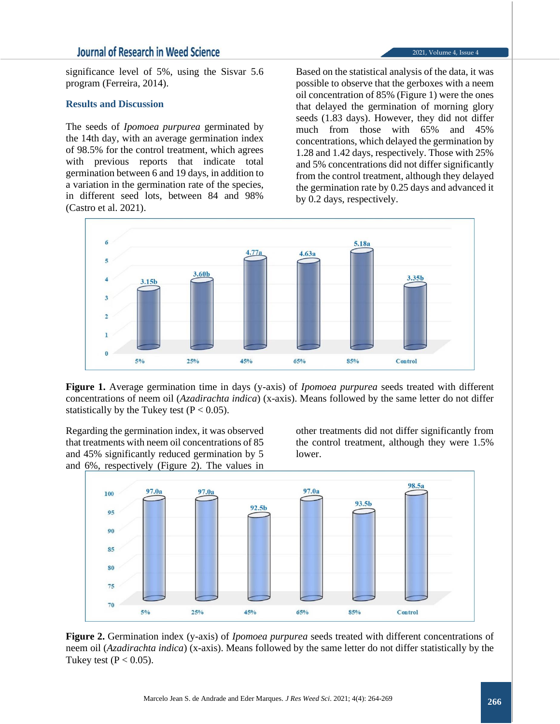## **Journal of Research in Weed Science**

significance level of 5%, using the Sisvar 5.6 program (Ferreira, 2014).

#### **Results and Discussion**

The seeds of *Ipomoea purpurea* germinated by the 14th day, with an average germination index of 98.5% for the control treatment, which agrees with previous reports that indicate total germination between 6 and 19 days, in addition to a variation in the germination rate of the species, in different seed lots, between 84 and 98% (Castro et al. 2021).

Based on the statistical analysis of the data, it was possible to observe that the gerboxes with a neem oil concentration of 85% (Figure 1) were the ones that delayed the germination of morning glory seeds (1.83 days). However, they did not differ much from those with 65% and 45% concentrations, which delayed the germination by 1.28 and 1.42 days, respectively. Those with 25% and 5% concentrations did not differ significantly from the control treatment, although they delayed the germination rate by 0.25 days and advanced it by 0.2 days, respectively.



**Figure 1.** Average germination time in days (y-axis) of *Ipomoea purpurea* seeds treated with different concentrations of neem oil (*Azadirachta indica*) (x-axis). Means followed by the same letter do not differ statistically by the Tukey test ( $P < 0.05$ ).

Regarding the germination index, it was observed that treatments with neem oil concentrations of 85 and 45% significantly reduced germination by 5 and 6%, respectively (Figure 2). The values in

other treatments did not differ significantly from the control treatment, although they were 1.5% lower.



**Figure 2.** Germination index (y-axis) of *Ipomoea purpurea* seeds treated with different concentrations of neem oil (*Azadirachta indica*) (x-axis). Means followed by the same letter do not differ statistically by the Tukey test  $(P < 0.05)$ .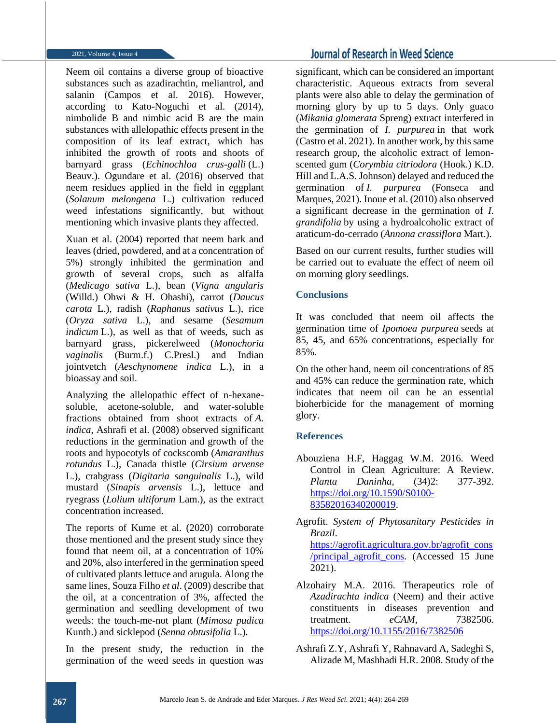Neem oil contains a diverse group of bioactive substances such as azadirachtin, meliantrol, and salanin (Campos et al. 2016). However, according to Kato-Noguchi et al. (2014), nimbolide B and nimbic acid B are the main substances with allelopathic effects present in the composition of its leaf extract, which has inhibited the growth of roots and shoots of barnyard grass (*Echinochloa crus-galli* (L.) Beauv.). Ogundare et al. (2016) observed that neem residues applied in the field in eggplant (*Solanum melongena* L.) cultivation reduced weed infestations significantly, but without mentioning which invasive plants they affected.

Xuan et al. (2004) reported that neem bark and leaves (dried, powdered, and at a concentration of 5%) strongly inhibited the germination and growth of several crops, such as alfalfa (*Medicago sativa* L.), bean (*Vigna angularis*  (Willd.) Ohwi & H. Ohashi), carrot (*Daucus carota* L.), radish (*Raphanus sativus* L.), rice (*Oryza sativa* L.), and sesame (*Sesamum indicum* L.), as well as that of weeds, such as barnyard grass, pickerelweed (*Monochoria vaginalis* (Burm.f.) C.Presl.) and Indian jointvetch (*Aeschynomene indica* L.), in a bioassay and soil.

Analyzing the allelopathic effect of n-hexanesoluble, acetone-soluble, and water-soluble fractions obtained from shoot extracts of *A. indica*, Ashrafi et al. (2008) observed significant reductions in the germination and growth of the roots and hypocotyls of cockscomb (*Amaranthus rotundus* L.), Canada thistle (*Cirsium arvense*  L.), crabgrass (*Digitaria sanguinalis* L.), wild mustard (*Sinapis arvensis* L.), lettuce and ryegrass (*Lolium ultiforum* Lam.), as the extract concentration increased.

The reports of Kume et al. (2020) corroborate those mentioned and the present study since they found that neem oil, at a concentration of 10% and 20%, also interfered in the germination speed of cultivated plants lettuce and arugula. Along the same lines, Souza Filho *et al*. (2009) describe that the oil, at a concentration of 3%, affected the germination and seedling development of two weeds: the touch-me-not plant (*Mimosa pudica* Kunth.) and sicklepod (*Senna obtusifolia* L.).

In the present study, the reduction in the germination of the weed seeds in question was

## **Journal of Research in Weed Science**

significant, which can be considered an important characteristic. Aqueous extracts from several plants were also able to delay the germination of morning glory by up to 5 days. Only guaco (*Mikania glomerata* Spreng) extract interfered in the germination of *I. purpurea* in that work (Castro et al. 2021). In another work, by this same research group, the alcoholic extract of lemonscented gum (*Corymbia citriodora* (Hook.) K.D. Hill and L.A.S. Johnson) delayed and reduced the germination of *I. purpurea* (Fonseca and Marques, 2021). Inoue et al. (2010) also observed a significant decrease in the germination of *I. grandifolia* by using a hydroalcoholic extract of araticum-do-cerrado (*Annona crassiflora* Mart.).

Based on our current results, further studies will be carried out to evaluate the effect of neem oil on morning glory seedlings.

### **Conclusions**

It was concluded that neem oil affects the germination time of *Ipomoea purpurea* seeds at 85, 45, and 65% concentrations, especially for 85%.

On the other hand, neem oil concentrations of 85 and 45% can reduce the germination rate, which indicates that neem oil can be an essential bioherbicide for the management of morning glory.

### **References**

- Abouziena H.F, Haggag W.M. 2016. Weed Control in Clean Agriculture: A Review. *Planta Daninha,* (34)2: 377-392. [https://doi.org/10.1590/S0100-](https://doi.org/10.1590/S0100-83582016340200019) [83582016340200019.](https://doi.org/10.1590/S0100-83582016340200019)
- Agrofit. *System of Phytosanitary Pesticides in Brazil*. [https://agrofit.agricultura.gov.br/agrofit\\_cons](https://agrofit.agricultura.gov.br/agrofit_cons/principal_agrofit_cons) [/principal\\_agrofit\\_cons.](https://agrofit.agricultura.gov.br/agrofit_cons/principal_agrofit_cons) (Accessed 15 June 2021).
- Alzohairy M.A. 2016. Therapeutics role of *Azadirachta indica* (Neem) and their active constituents in diseases prevention and treatment. *eCAM*, 7382506. <https://doi.org/10.1155/2016/7382506>
- Ashrafi Z.Y, Ashrafi Y, Rahnavard A, Sadeghi S, Alizade M, Mashhadi H.R. 2008. Study of the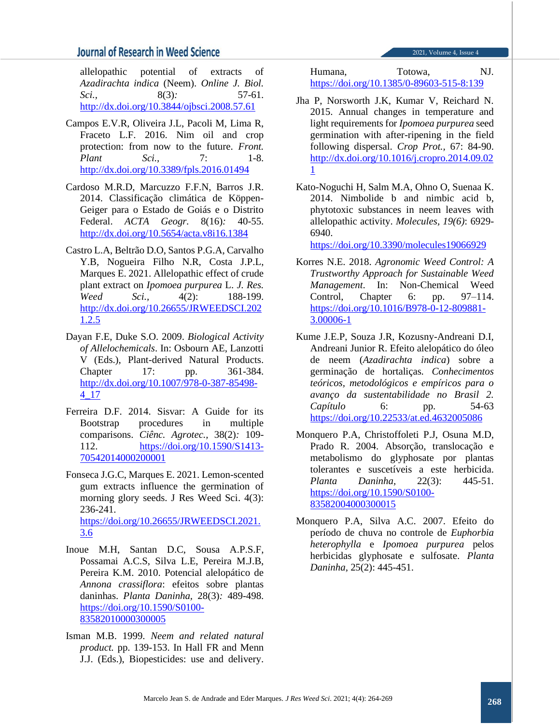## **Journal of Research in Weed Science**

2021, Volume 4, Issue 4

allelopathic potential of extracts of *Azadirachta indica* (Neem). *Online J. Biol. Sci.,* 8(3)*:* 57-61. <http://dx.doi.org/10.3844/ojbsci.2008.57.61>

- Campos E.V.R, Oliveira J.L, Pacoli M, Lima R, Fraceto L.F. 2016. Nim oil and crop protection: from now to the future. *Front. Plant Sci.,* 7: 1-8. <http://dx.doi.org/10.3389/fpls.2016.01494>
- Cardoso M.R.D, Marcuzzo F.F.N, Barros J.R. 2014. Classificação climática de Köppen-Geiger para o Estado de Goiás e o Distrito Federal. *ACTA Geogr.* 8(16)*:* 40-55. <http://dx.doi.org/10.5654/acta.v8i16.1384>
- Castro L.A, Beltrão D.O, Santos P.G.A, Carvalho Y.B, Nogueira Filho N.R, Costa J.P.L, Marques E. 2021. Allelopathic effect of crude plant extract on *Ipomoea purpurea* L. *J. Res. Weed Sci.,* 4(2): 188-199. [http://dx.doi.org/10.26655/JRWEEDSCI.202](http://dx.doi.org/10.26655/JRWEEDSCI.2021.2.5) [1.2.5](http://dx.doi.org/10.26655/JRWEEDSCI.2021.2.5)
- Dayan F.E, Duke S.O. 2009. *Biological Activity of Allelochemicals*. In: Osbourn AE, Lanzotti V (Eds.), Plant-derived Natural Products. Chapter 17: pp. 361-384. [http://dx.doi.org/10.1007/978-0-387-85498-](http://dx.doi.org/10.1007/978-0-387-85498-4_17) [4\\_17](http://dx.doi.org/10.1007/978-0-387-85498-4_17)
- Ferreira D.F. 2014. Sisvar: A Guide for its Bootstrap procedures in multiple comparisons. *Ciênc. Agrotec.,* 38(2)*:* 109- 112. [https://doi.org/10.1590/S1413-](https://doi.org/10.1590/S1413-70542014000200001) [70542014000200001](https://doi.org/10.1590/S1413-70542014000200001)
- Fonseca J.G.C, Marques E. 2021. Lemon-scented gum extracts influence the germination of morning glory seeds. J Res Weed Sci. 4(3): 236-241. [https://doi.org/10.26655/JRWEEDSCI.2021.](https://doi.org/10.26655/JRWEEDSCI.2021.3.6) [3.6](https://doi.org/10.26655/JRWEEDSCI.2021.3.6)
- Inoue M.H, Santan D.C, Sousa A.P.S.F, Possamai A.C.S, Silva L.E, Pereira M.J.B, Pereira K.M. 2010. Potencial alelopático de *Annona crassiflora*: efeitos sobre plantas daninhas. *Planta Daninha,* 28(3)*:* 489-498. [https://doi.org/10.1590/S0100-](https://doi.org/10.1590/S0100-83582010000300005) [83582010000300005](https://doi.org/10.1590/S0100-83582010000300005)
- Isman M.B. 1999. *Neem and related natural product.* pp. 139-153. In Hall FR and Menn J.J. (Eds.), Biopesticides: use and delivery.

Humana, Totowa, NJ. <https://doi.org/10.1385/0-89603-515-8:139>

- Jha P, Norsworth J.K, Kumar V, Reichard N. 2015. Annual changes in temperature and light requirements for *Ipomoea purpurea* seed germination with after-ripening in the field following dispersal. *Crop Prot.,* 67: 84-90. [http://dx.doi.org/10.1016/j.cropro.2014.09.02](http://dx.doi.org/10.1016/j.cropro.2014.09.021) [1](http://dx.doi.org/10.1016/j.cropro.2014.09.021)
- Kato-Noguchi H, Salm M.A, Ohno O, Suenaa K. 2014. Nimbolide b and nimbic acid b, phytotoxic substances in neem leaves with allelopathic activity. *Molecules, 19(6)*: 6929- 6940.

<https://doi.org/10.3390/molecules19066929>

- Korres N.E. 2018. *Agronomic Weed Control: A Trustworthy Approach for Sustainable Weed Management*. In: Non-Chemical Weed Control, Chapter 6: pp. 97–114. [https://doi.org/10.1016/B978-0-12-809881-](https://doi.org/10.1016/B978-0-12-809881-3.00006-1) [3.00006-1](https://doi.org/10.1016/B978-0-12-809881-3.00006-1)
- Kume J.E.P, Souza J.R, Kozusny-Andreani D.I, Andreani Junior R. Efeito alelopático do óleo de neem (*Azadirachta indica*) sobre a germinação de hortaliças. *Conhecimentos teóricos, metodológicos e empíricos para o avanço da sustentabilidade no Brasil 2. Capítulo* 6: pp. 54-63 <https://doi.org/10.22533/at.ed.4632005086>
- Monquero P.A, Christoffoleti P.J, Osuna M.D, Prado R. 2004. Absorção, translocação e metabolismo do glyphosate por plantas tolerantes e suscetíveis a este herbicida. *Planta Daninha,* 22(3): 445-51. [https://doi.org/10.1590/S0100-](https://doi.org/10.1590/S0100-83582004000300015) [83582004000300015](https://doi.org/10.1590/S0100-83582004000300015)
- Monquero P.A, Silva A.C. 2007. Efeito do período de chuva no controle de *Euphorbia heterophylla* e *Ipomoea purpurea* pelos herbicidas glyphosate e sulfosate. *Planta Daninha,* 25(2): 445-451.